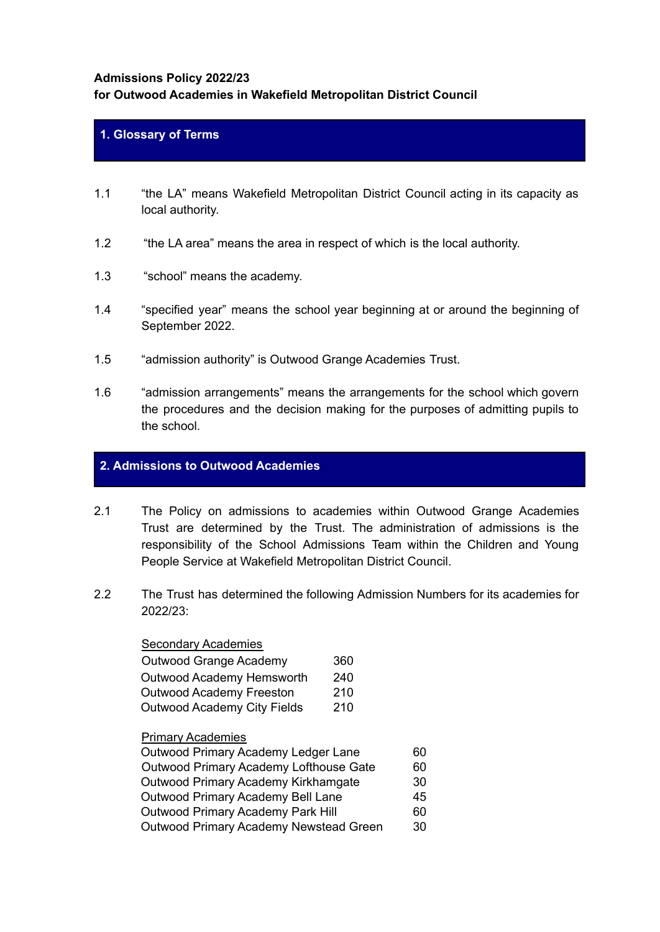## **Admissions Policy 2022/23**

# **for Outwood Academies in Wakefield Metropolitan District Council**

## **1. Glossary of Terms**

- 1.1 "the LA" means Wakefield Metropolitan District Council acting in its capacity as local authority.
- 1.2 "the LA area" means the area in respect of which is the local authority.
- 1.3 "school" means the academy.
- 1.4 "specified year" means the school year beginning at or around the beginning of September 2022.
- 1.5 "admission authority" is Outwood Grange Academies Trust.
- 1.6 "admission arrangements" means the arrangements for the school which govern the procedures and the decision making for the purposes of admitting pupils to the school.

## **2. Admissions to Outwood Academies**

- 2.1 The Policy on admissions to academies within Outwood Grange Academies Trust are determined by the Trust. The administration of admissions is the responsibility of the School Admissions Team within the Children and Young People Service at Wakefield Metropolitan District Council.
- 2.2 The Trust has determined the following Admission Numbers for its academies for 2022/23:

#### Secondary Academies

| Outwood Grange Academy      | 360 |
|-----------------------------|-----|
| Outwood Academy Hemsworth   | 240 |
| Outwood Academy Freeston    | 210 |
| Outwood Academy City Fields | 210 |

# Primary Academies

| Outwood Primary Academy Ledger Lane      | 60 |
|------------------------------------------|----|
| Outwood Primary Academy Lofthouse Gate   | 60 |
| Outwood Primary Academy Kirkhamgate      | 30 |
| Outwood Primary Academy Bell Lane        | 45 |
| <b>Outwood Primary Academy Park Hill</b> | 60 |
| Outwood Primary Academy Newstead Green   | 30 |
|                                          |    |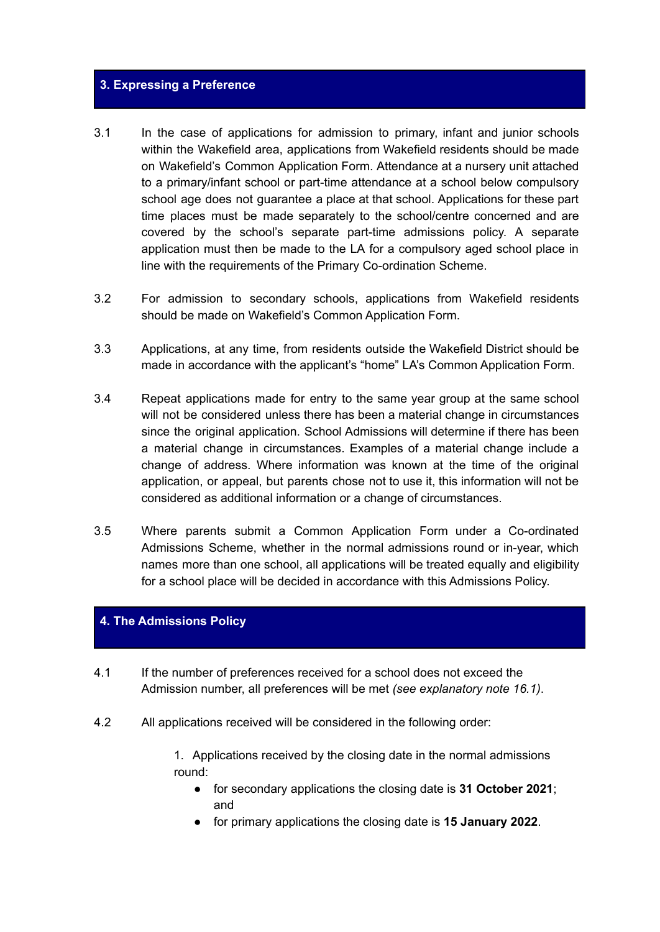### **3. Expressing a Preference**

- 3.1 In the case of applications for admission to primary, infant and junior schools within the Wakefield area, applications from Wakefield residents should be made on Wakefield's Common Application Form. Attendance at a nursery unit attached to a primary/infant school or part-time attendance at a school below compulsory school age does not guarantee a place at that school. Applications for these part time places must be made separately to the school/centre concerned and are covered by the school's separate part-time admissions policy. A separate application must then be made to the LA for a compulsory aged school place in line with the requirements of the Primary Co-ordination Scheme.
- 3.2 For admission to secondary schools, applications from Wakefield residents should be made on Wakefield's Common Application Form.
- 3.3 Applications, at any time, from residents outside the Wakefield District should be made in accordance with the applicant's "home" LA's Common Application Form.
- 3.4 Repeat applications made for entry to the same year group at the same school will not be considered unless there has been a material change in circumstances since the original application. School Admissions will determine if there has been a material change in circumstances. Examples of a material change include a change of address. Where information was known at the time of the original application, or appeal, but parents chose not to use it, this information will not be considered as additional information or a change of circumstances.
- 3.5 Where parents submit a Common Application Form under a Co-ordinated Admissions Scheme, whether in the normal admissions round or in-year, which names more than one school, all applications will be treated equally and eligibility for a school place will be decided in accordance with this Admissions Policy.

# **4. The Admissions Policy**

- 4.1 If the number of preferences received for a school does not exceed the Admission number, all preferences will be met *(see explanatory note 16.1)*.
- 4.2 All applications received will be considered in the following order:

1. Applications received by the closing date in the normal admissions round:

- for secondary applications the closing date is **31 October 2021**; and
- for primary applications the closing date is **15 January 2022**.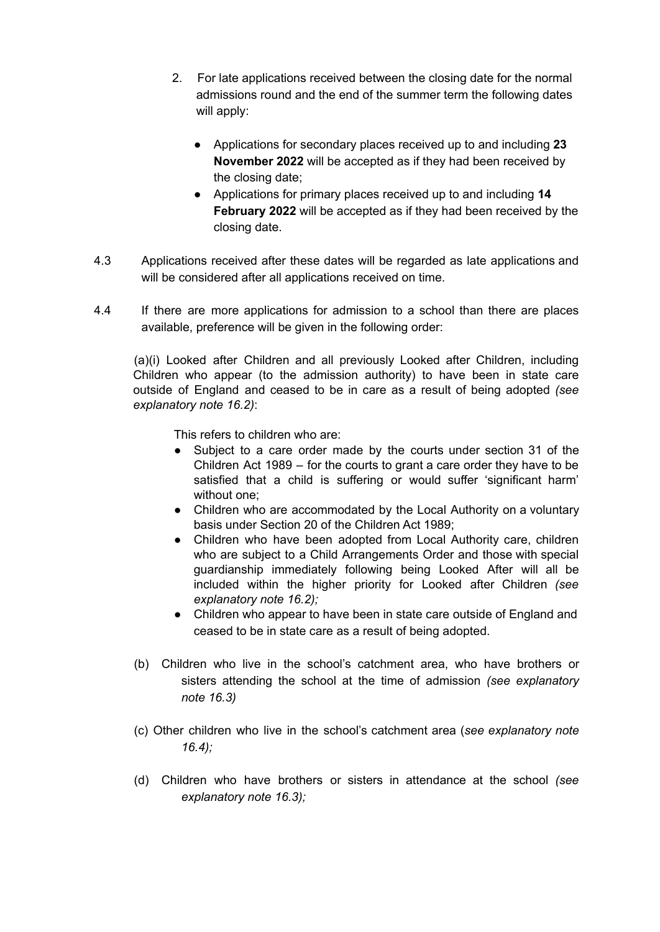- 2. For late applications received between the closing date for the normal admissions round and the end of the summer term the following dates will apply:
	- Applications for secondary places received up to and including **23 November 2022** will be accepted as if they had been received by the closing date;
	- Applications for primary places received up to and including **14 February 2022** will be accepted as if they had been received by the closing date.
- 4.3 Applications received after these dates will be regarded as late applications and will be considered after all applications received on time.
- 4.4 If there are more applications for admission to a school than there are places available, preference will be given in the following order:

(a)(i) Looked after Children and all previously Looked after Children, including Children who appear (to the admission authority) to have been in state care outside of England and ceased to be in care as a result of being adopted *(see explanatory note 16.2)*:

This refers to children who are:

- Subject to a care order made by the courts under section 31 of the Children Act 1989 – for the courts to grant a care order they have to be satisfied that a child is suffering or would suffer 'significant harm' without one;
- Children who are accommodated by the Local Authority on a voluntary basis under Section 20 of the Children Act 1989;
- Children who have been adopted from Local Authority care, children who are subject to a Child Arrangements Order and those with special guardianship immediately following being Looked After will all be included within the higher priority for Looked after Children *(see explanatory note 16.2);*
- *●* Children who appear to have been in state care outside of England and ceased to be in state care as a result of being adopted.
- (b) Children who live in the school's catchment area, who have brothers or sisters attending the school at the time of admission *(see explanatory note 16.3)*
- (c) Other children who live in the school's catchment area (*see explanatory note 16.4);*
- (d) Children who have brothers or sisters in attendance at the school *(see explanatory note 16.3);*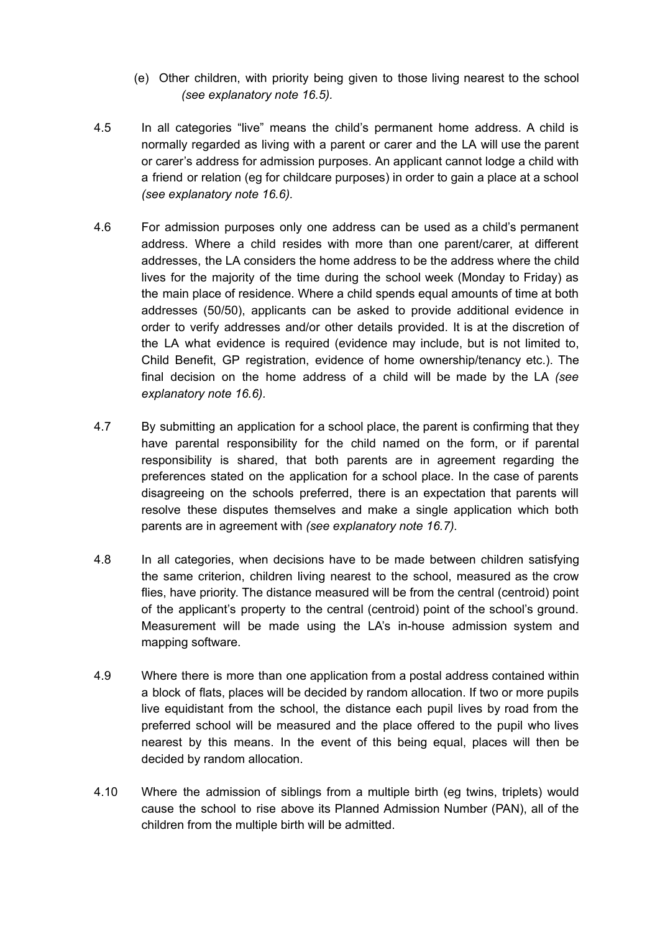- (e) Other children, with priority being given to those living nearest to the school *(see explanatory note 16.5).*
- 4.5 In all categories "live" means the child's permanent home address. A child is normally regarded as living with a parent or carer and the LA will use the parent or carer's address for admission purposes. An applicant cannot lodge a child with a friend or relation (eg for childcare purposes) in order to gain a place at a school *(see explanatory note 16.6).*
- 4.6 For admission purposes only one address can be used as a child's permanent address. Where a child resides with more than one parent/carer, at different addresses, the LA considers the home address to be the address where the child lives for the majority of the time during the school week (Monday to Friday) as the main place of residence. Where a child spends equal amounts of time at both addresses (50/50), applicants can be asked to provide additional evidence in order to verify addresses and/or other details provided. It is at the discretion of the LA what evidence is required (evidence may include, but is not limited to, Child Benefit, GP registration, evidence of home ownership/tenancy etc.). The final decision on the home address of a child will be made by the LA *(see explanatory note 16.6).*
- 4.7 By submitting an application for a school place, the parent is confirming that they have parental responsibility for the child named on the form, or if parental responsibility is shared, that both parents are in agreement regarding the preferences stated on the application for a school place. In the case of parents disagreeing on the schools preferred, there is an expectation that parents will resolve these disputes themselves and make a single application which both parents are in agreement with *(see explanatory note 16.7).*
- 4.8 In all categories, when decisions have to be made between children satisfying the same criterion, children living nearest to the school, measured as the crow flies, have priority. The distance measured will be from the central (centroid) point of the applicant's property to the central (centroid) point of the school's ground. Measurement will be made using the LA's in-house admission system and mapping software.
- 4.9 Where there is more than one application from a postal address contained within a block of flats, places will be decided by random allocation. If two or more pupils live equidistant from the school, the distance each pupil lives by road from the preferred school will be measured and the place offered to the pupil who lives nearest by this means. In the event of this being equal, places will then be decided by random allocation.
- 4.10 Where the admission of siblings from a multiple birth (eg twins, triplets) would cause the school to rise above its Planned Admission Number (PAN), all of the children from the multiple birth will be admitted.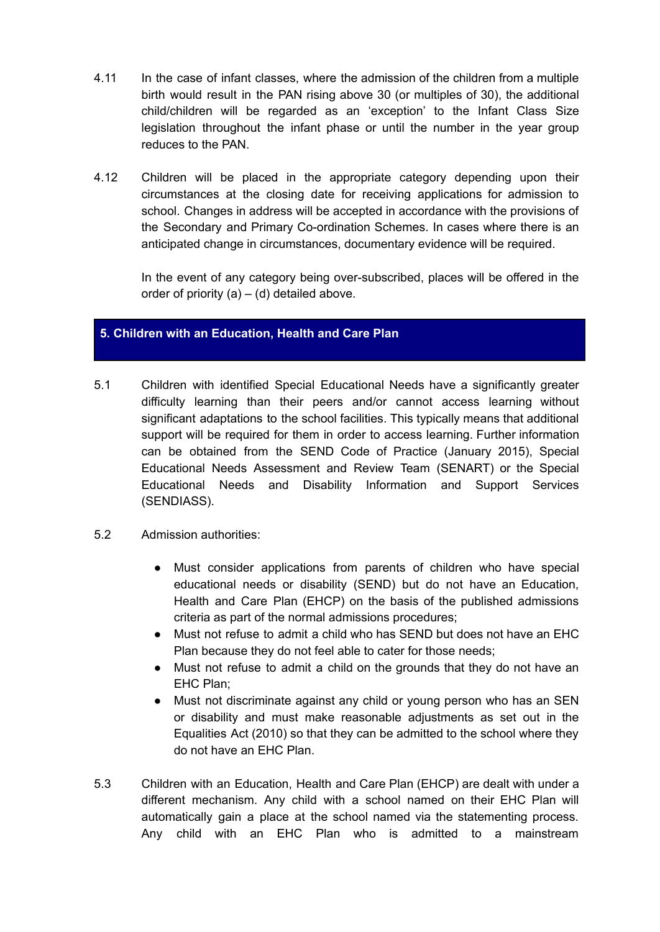- 4.11 In the case of infant classes, where the admission of the children from a multiple birth would result in the PAN rising above 30 (or multiples of 30), the additional child/children will be regarded as an 'exception' to the Infant Class Size legislation throughout the infant phase or until the number in the year group reduces to the PAN.
- 4.12 Children will be placed in the appropriate category depending upon their circumstances at the closing date for receiving applications for admission to school. Changes in address will be accepted in accordance with the provisions of the Secondary and Primary Co-ordination Schemes. In cases where there is an anticipated change in circumstances, documentary evidence will be required.

In the event of any category being over-subscribed, places will be offered in the order of priority  $(a) - (d)$  detailed above.

## **5. Children with an Education, Health and Care Plan**

- 5.1 Children with identified Special Educational Needs have a significantly greater difficulty learning than their peers and/or cannot access learning without significant adaptations to the school facilities. This typically means that additional support will be required for them in order to access learning. Further information can be obtained from the SEND Code of Practice (January 2015), Special Educational Needs Assessment and Review Team (SENART) or the Special Educational Needs and Disability Information and Support Services (SENDIASS).
- 5.2 Admission authorities:
	- Must consider applications from parents of children who have special educational needs or disability (SEND) but do not have an Education, Health and Care Plan (EHCP) on the basis of the published admissions criteria as part of the normal admissions procedures;
	- Must not refuse to admit a child who has SEND but does not have an EHC Plan because they do not feel able to cater for those needs;
	- Must not refuse to admit a child on the grounds that they do not have an EHC Plan;
	- Must not discriminate against any child or young person who has an SEN or disability and must make reasonable adjustments as set out in the Equalities Act (2010) so that they can be admitted to the school where they do not have an EHC Plan.
- 5.3 Children with an Education, Health and Care Plan (EHCP) are dealt with under a different mechanism. Any child with a school named on their EHC Plan will automatically gain a place at the school named via the statementing process. Any child with an EHC Plan who is admitted to a mainstream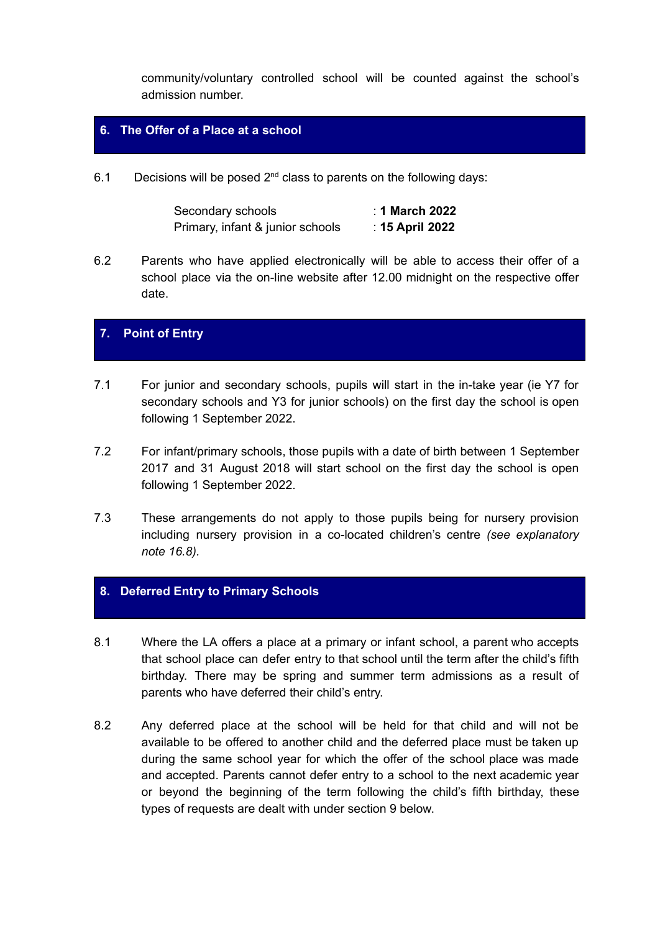community/voluntary controlled school will be counted against the school's admission number.

# **6. The Offer of a Place at a school**

6.1 Decisions will be posed  $2^{nd}$  class to parents on the following days:

| Secondary schools                | : 1 March 2022  |
|----------------------------------|-----------------|
| Primary, infant & junior schools | : 15 April 2022 |

6.2 Parents who have applied electronically will be able to access their offer of a school place via the on-line website after 12.00 midnight on the respective offer date.

# **7. Point of Entry**

- 7.1 For junior and secondary schools, pupils will start in the in-take year (ie Y7 for secondary schools and Y3 for junior schools) on the first day the school is open following 1 September 2022.
- 7.2 For infant/primary schools, those pupils with a date of birth between 1 September 2017 and 31 August 2018 will start school on the first day the school is open following 1 September 2022.
- 7.3 These arrangements do not apply to those pupils being for nursery provision including nursery provision in a co-located children's centre *(see explanatory note 16.8).*

# **8. Deferred Entry to Primary Schools**

- 8.1 Where the LA offers a place at a primary or infant school, a parent who accepts that school place can defer entry to that school until the term after the child's fifth birthday. There may be spring and summer term admissions as a result of parents who have deferred their child's entry.
- 8.2 Any deferred place at the school will be held for that child and will not be available to be offered to another child and the deferred place must be taken up during the same school year for which the offer of the school place was made and accepted. Parents cannot defer entry to a school to the next academic year or beyond the beginning of the term following the child's fifth birthday, these types of requests are dealt with under section 9 below.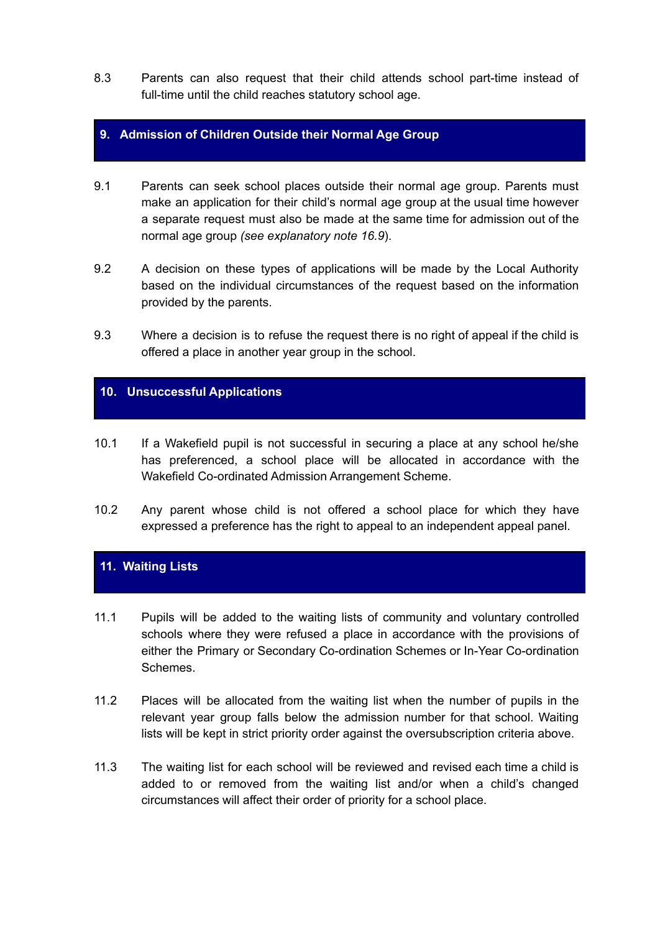8.3 Parents can also request that their child attends school part-time instead of full-time until the child reaches statutory school age.

## **9. Admission of Children Outside their Normal Age Group**

- 9.1 Parents can seek school places outside their normal age group. Parents must make an application for their child's normal age group at the usual time however a separate request must also be made at the same time for admission out of the normal age group *(see explanatory note 16.9*).
- 9.2 A decision on these types of applications will be made by the Local Authority based on the individual circumstances of the request based on the information provided by the parents.
- 9.3 Where a decision is to refuse the request there is no right of appeal if the child is offered a place in another year group in the school.

# **10. Unsuccessful Applications**

- 10.1 If a Wakefield pupil is not successful in securing a place at any school he/she has preferenced, a school place will be allocated in accordance with the Wakefield Co-ordinated Admission Arrangement Scheme.
- 10.2 Any parent whose child is not offered a school place for which they have expressed a preference has the right to appeal to an independent appeal panel.

# **11. Waiting Lists**

- 11.1 Pupils will be added to the waiting lists of community and voluntary controlled schools where they were refused a place in accordance with the provisions of either the Primary or Secondary Co-ordination Schemes or In-Year Co-ordination Schemes.
- 11.2 Places will be allocated from the waiting list when the number of pupils in the relevant year group falls below the admission number for that school. Waiting lists will be kept in strict priority order against the oversubscription criteria above.
- 11.3 The waiting list for each school will be reviewed and revised each time a child is added to or removed from the waiting list and/or when a child's changed circumstances will affect their order of priority for a school place.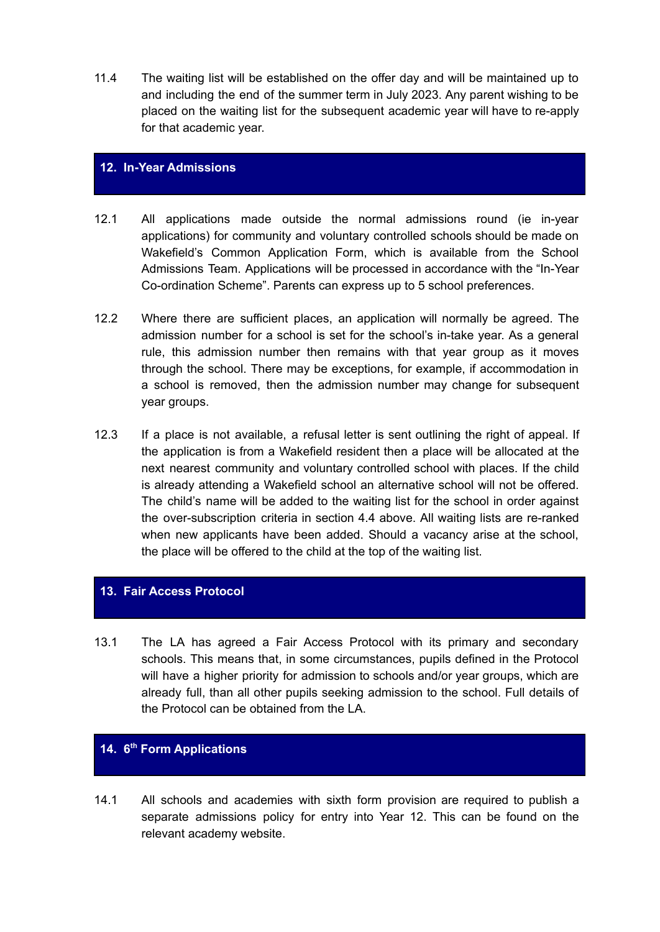11.4 The waiting list will be established on the offer day and will be maintained up to and including the end of the summer term in July 2023. Any parent wishing to be placed on the waiting list for the subsequent academic year will have to re-apply for that academic year.

## **12. In-Year Admissions**

- 12.1 All applications made outside the normal admissions round (ie in-year applications) for community and voluntary controlled schools should be made on Wakefield's Common Application Form, which is available from the School Admissions Team. Applications will be processed in accordance with the "In-Year Co-ordination Scheme". Parents can express up to 5 school preferences.
- 12.2 Where there are sufficient places, an application will normally be agreed. The admission number for a school is set for the school's in-take year. As a general rule, this admission number then remains with that year group as it moves through the school. There may be exceptions, for example, if accommodation in a school is removed, then the admission number may change for subsequent year groups.
- 12.3 If a place is not available, a refusal letter is sent outlining the right of appeal. If the application is from a Wakefield resident then a place will be allocated at the next nearest community and voluntary controlled school with places. If the child is already attending a Wakefield school an alternative school will not be offered. The child's name will be added to the waiting list for the school in order against the over-subscription criteria in section 4.4 above. All waiting lists are re-ranked when new applicants have been added. Should a vacancy arise at the school, the place will be offered to the child at the top of the waiting list.

# **13. Fair Access Protocol**

13.1 The LA has agreed a Fair Access Protocol with its primary and secondary schools. This means that, in some circumstances, pupils defined in the Protocol will have a higher priority for admission to schools and/or year groups, which are already full, than all other pupils seeking admission to the school. Full details of the Protocol can be obtained from the LA.

## **14. 6 th Form Applications**

14.1 All schools and academies with sixth form provision are required to publish a separate admissions policy for entry into Year 12. This can be found on the relevant academy website.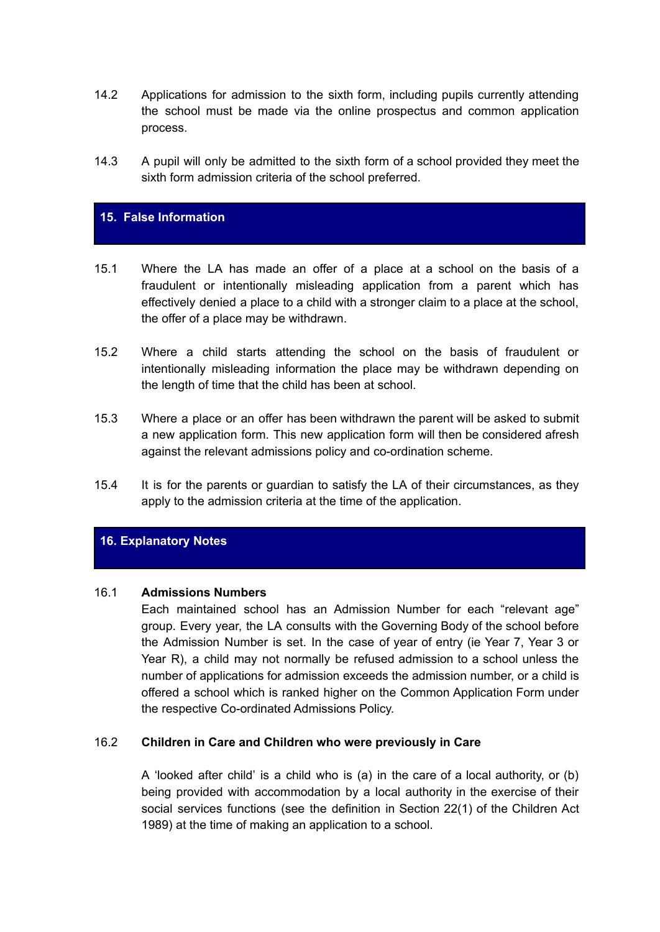- 14.2 Applications for admission to the sixth form, including pupils currently attending the school must be made via the online prospectus and common application process.
- 14.3 A pupil will only be admitted to the sixth form of a school provided they meet the sixth form admission criteria of the school preferred.

## **15. False Information**

- 15.1 Where the LA has made an offer of a place at a school on the basis of a fraudulent or intentionally misleading application from a parent which has effectively denied a place to a child with a stronger claim to a place at the school, the offer of a place may be withdrawn.
- 15.2 Where a child starts attending the school on the basis of fraudulent or intentionally misleading information the place may be withdrawn depending on the length of time that the child has been at school.
- 15.3 Where a place or an offer has been withdrawn the parent will be asked to submit a new application form. This new application form will then be considered afresh against the relevant admissions policy and co-ordination scheme.
- 15.4 It is for the parents or guardian to satisfy the LA of their circumstances, as they apply to the admission criteria at the time of the application.

## **16. Explanatory Notes**

#### 16.1 **Admissions Numbers**

Each maintained school has an Admission Number for each "relevant age" group. Every year, the LA consults with the Governing Body of the school before the Admission Number is set. In the case of year of entry (ie Year 7, Year 3 or Year R), a child may not normally be refused admission to a school unless the number of applications for admission exceeds the admission number, or a child is offered a school which is ranked higher on the Common Application Form under the respective Co-ordinated Admissions Policy.

#### 16.2 **Children in Care and Children who were previously in Care**

A 'looked after child' is a child who is (a) in the care of a local authority, or (b) being provided with accommodation by a local authority in the exercise of their social services functions (see the definition in Section 22(1) of the Children Act 1989) at the time of making an application to a school.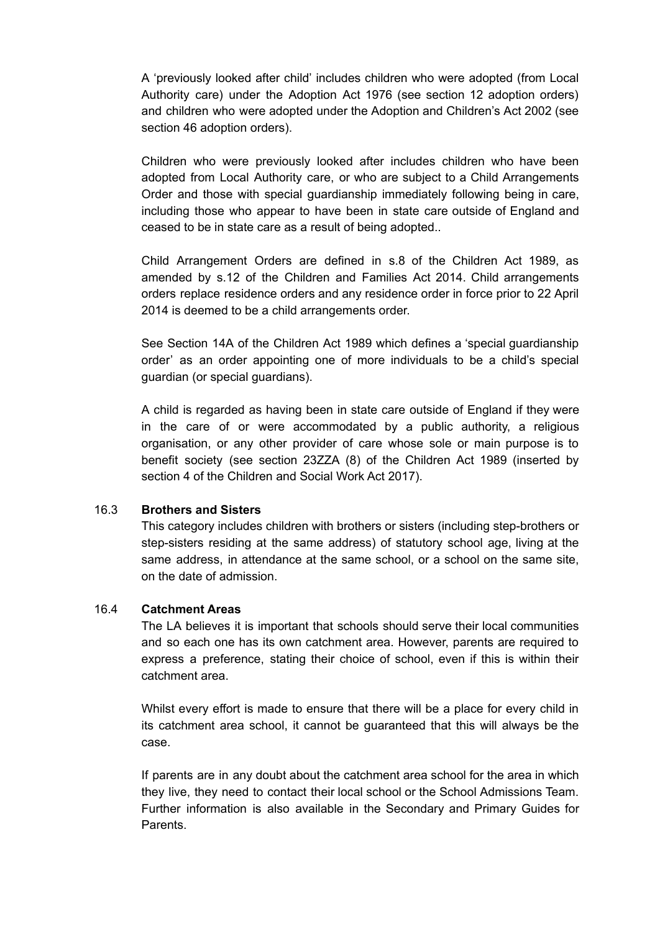A 'previously looked after child' includes children who were adopted (from Local Authority care) under the Adoption Act 1976 (see section 12 adoption orders) and children who were adopted under the Adoption and Children's Act 2002 (see section 46 adoption orders).

Children who were previously looked after includes children who have been adopted from Local Authority care, or who are subject to a Child Arrangements Order and those with special guardianship immediately following being in care, including those who appear to have been in state care outside of England and ceased to be in state care as a result of being adopted..

Child Arrangement Orders are defined in s.8 of the Children Act 1989, as amended by s.12 of the Children and Families Act 2014. Child arrangements orders replace residence orders and any residence order in force prior to 22 April 2014 is deemed to be a child arrangements order.

See Section 14A of the Children Act 1989 which defines a 'special guardianship order' as an order appointing one of more individuals to be a child's special guardian (or special guardians).

A child is regarded as having been in state care outside of England if they were in the care of or were accommodated by a public authority, a religious organisation, or any other provider of care whose sole or main purpose is to benefit society (see section 23ZZA (8) of the Children Act 1989 (inserted by section 4 of the Children and Social Work Act 2017).

## 16.3 **Brothers and Sisters**

This category includes children with brothers or sisters (including step-brothers or step-sisters residing at the same address) of statutory school age, living at the same address, in attendance at the same school, or a school on the same site, on the date of admission.

#### 16.4 **Catchment Areas**

The LA believes it is important that schools should serve their local communities and so each one has its own catchment area. However, parents are required to express a preference, stating their choice of school, even if this is within their catchment area.

Whilst every effort is made to ensure that there will be a place for every child in its catchment area school, it cannot be guaranteed that this will always be the case.

If parents are in any doubt about the catchment area school for the area in which they live, they need to contact their local school or the School Admissions Team. Further information is also available in the Secondary and Primary Guides for Parents.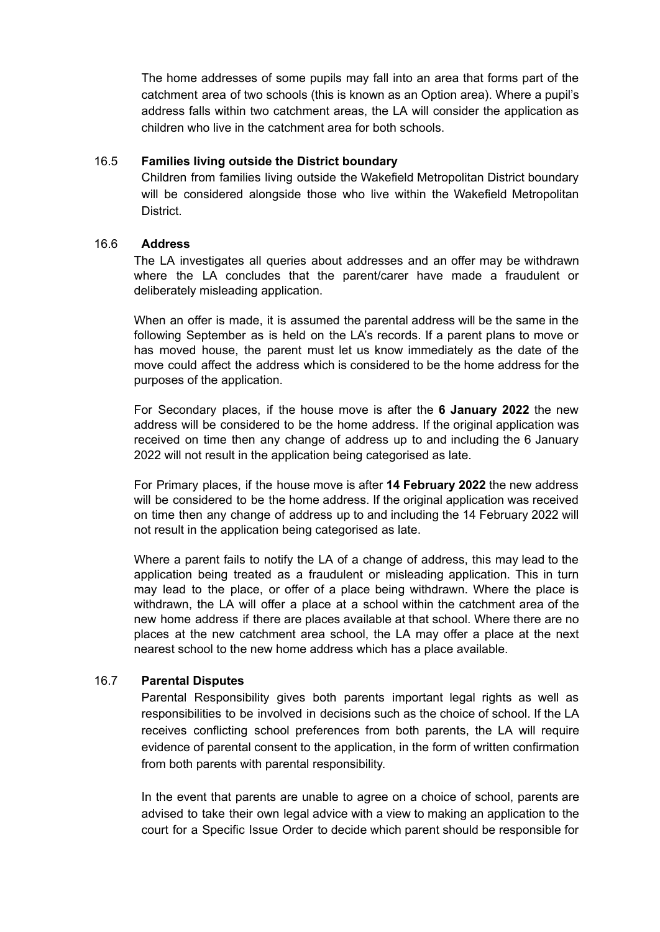The home addresses of some pupils may fall into an area that forms part of the catchment area of two schools (this is known as an Option area). Where a pupil's address falls within two catchment areas, the LA will consider the application as children who live in the catchment area for both schools.

## 16.5 **Families living outside the District boundary**

Children from families living outside the Wakefield Metropolitan District boundary will be considered alongside those who live within the Wakefield Metropolitan District.

## 16.6 **Address**

The LA investigates all queries about addresses and an offer may be withdrawn where the LA concludes that the parent/carer have made a fraudulent or deliberately misleading application.

When an offer is made, it is assumed the parental address will be the same in the following September as is held on the LA's records. If a parent plans to move or has moved house, the parent must let us know immediately as the date of the move could affect the address which is considered to be the home address for the purposes of the application.

For Secondary places, if the house move is after the **6 January 2022** the new address will be considered to be the home address. If the original application was received on time then any change of address up to and including the 6 January 2022 will not result in the application being categorised as late.

For Primary places, if the house move is after **14 February 2022** the new address will be considered to be the home address. If the original application was received on time then any change of address up to and including the 14 February 2022 will not result in the application being categorised as late.

Where a parent fails to notify the LA of a change of address, this may lead to the application being treated as a fraudulent or misleading application. This in turn may lead to the place, or offer of a place being withdrawn. Where the place is withdrawn, the LA will offer a place at a school within the catchment area of the new home address if there are places available at that school. Where there are no places at the new catchment area school, the LA may offer a place at the next nearest school to the new home address which has a place available.

# 16.7 **Parental Disputes**

Parental Responsibility gives both parents important legal rights as well as responsibilities to be involved in decisions such as the choice of school. If the LA receives conflicting school preferences from both parents, the LA will require evidence of parental consent to the application, in the form of written confirmation from both parents with parental responsibility.

In the event that parents are unable to agree on a choice of school, parents are advised to take their own legal advice with a view to making an application to the court for a Specific Issue Order to decide which parent should be responsible for